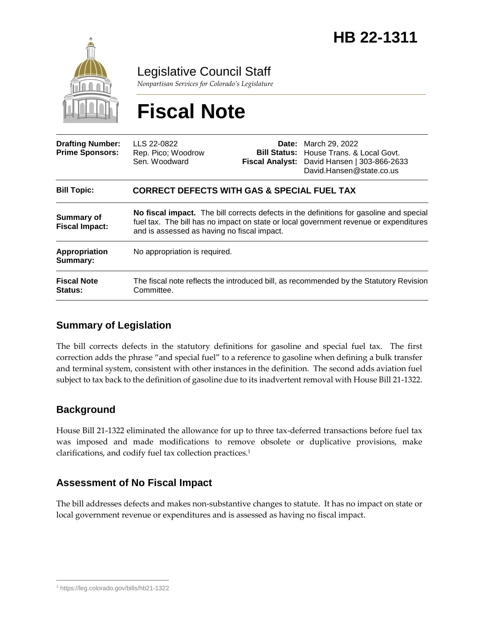

Legislative Council Staff

*Nonpartisan Services for Colorado's Legislature*

# **Fiscal Note**

| <b>Drafting Number:</b><br><b>Prime Sponsors:</b> | LLS 22-0822<br>Rep. Pico; Woodrow<br>Sen. Woodward                                                                                                                                                                              |  | <b>Date:</b> March 29, 2022<br><b>Bill Status:</b> House Trans, & Local Govt.<br>Fiscal Analyst: David Hansen   303-866-2633<br>David.Hansen@state.co.us |
|---------------------------------------------------|---------------------------------------------------------------------------------------------------------------------------------------------------------------------------------------------------------------------------------|--|----------------------------------------------------------------------------------------------------------------------------------------------------------|
| <b>Bill Topic:</b>                                | <b>CORRECT DEFECTS WITH GAS &amp; SPECIAL FUEL TAX</b>                                                                                                                                                                          |  |                                                                                                                                                          |
| <b>Summary of</b><br><b>Fiscal Impact:</b>        | No fiscal impact. The bill corrects defects in the definitions for gasoline and special<br>fuel tax. The bill has no impact on state or local government revenue or expenditures<br>and is assessed as having no fiscal impact. |  |                                                                                                                                                          |
| Appropriation<br>Summary:                         | No appropriation is required.                                                                                                                                                                                                   |  |                                                                                                                                                          |
| <b>Fiscal Note</b><br><b>Status:</b>              | The fiscal note reflects the introduced bill, as recommended by the Statutory Revision<br>Committee.                                                                                                                            |  |                                                                                                                                                          |

### **Summary of Legislation**

The bill corrects defects in the statutory definitions for gasoline and special fuel tax. The first correction adds the phrase "and special fuel" to a reference to gasoline when defining a bulk transfer and terminal system, consistent with other instances in the definition. The second adds aviation fuel subject to tax back to the definition of gasoline due to its inadvertent removal with House Bill 21-1322.

## **Background**

House Bill 21-1322 eliminated the allowance for up to three tax-deferred transactions before fuel tax was imposed and made modifications to remove obsolete or duplicative provisions, make clarifications, and codify fuel tax collection practices.<sup>1</sup>

### **Assessment of No Fiscal Impact**

The bill addresses defects and makes non-substantive changes to statute. It has no impact on state or local government revenue or expenditures and is assessed as having no fiscal impact.

 $\overline{a}$ <sup>1</sup> https://leg.colorado.gov/bills/hb21-1322